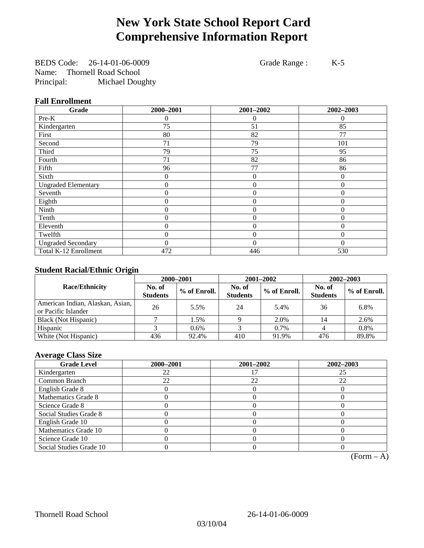# **New York State School Report Card Comprehensive Information Report**

BEDS Code: 26-14-01-06-0009 Grade Range : K-5 Name: Thornell Road School Principal: Michael Doughty

### **Fall Enrollment**

| Grade                      | 2000-2001        | 2001-2002      | 2002-2003      |
|----------------------------|------------------|----------------|----------------|
| Pre-K                      | 0                | $\theta$       | $\Omega$       |
| Kindergarten               | 75               | 51             | 85             |
| First                      | 80               | 82             | 77             |
| Second                     | 71               | 79             | 101            |
| Third                      | 79               | 75             | 95             |
| Fourth                     | 71               | 82             | 86             |
| Fifth                      | 96               | 77             | 86             |
| Sixth                      | $\theta$         | $\theta$       | $\Omega$       |
| <b>Ungraded Elementary</b> | 0                | $\mathbf{0}$   | $\theta$       |
| Seventh                    | $\boldsymbol{0}$ | $\mathbf{0}$   | $\overline{0}$ |
| Eighth                     | $\overline{0}$   | $\theta$       | $\mathbf{0}$   |
| Ninth                      | 0                | $\overline{0}$ | $\mathbf{0}$   |
| Tenth                      | 0                | $\overline{0}$ | $\theta$       |
| Eleventh                   | 0                | $\overline{0}$ | 0              |
| Twelfth                    | 0                | $\mathbf{0}$   | $\mathbf{0}$   |
| <b>Ungraded Secondary</b>  | 0                | $\Omega$       | $\theta$       |
| Total K-12 Enrollment      | 472              | 446            | 530            |

### **Student Racial/Ethnic Origin**

|                                                         | 2000-2001                 |              |                           | 2001-2002    | $2002 - 2003$             |                |
|---------------------------------------------------------|---------------------------|--------------|---------------------------|--------------|---------------------------|----------------|
| <b>Race/Ethnicity</b>                                   | No. of<br><b>Students</b> | % of Enroll. | No. of<br><b>Students</b> | % of Enroll. | No. of<br><b>Students</b> | $%$ of Enroll. |
| American Indian, Alaskan, Asian,<br>or Pacific Islander | 26                        | 5.5%         | 24                        | 5.4%         | 36                        | 6.8%           |
| Black (Not Hispanic)                                    |                           | 1.5%         |                           | 2.0%         | 14                        | 2.6%           |
| Hispanic                                                |                           | $0.6\%$      |                           | 0.7%         |                           | 0.8%           |
| White (Not Hispanic)                                    | 436                       | 92.4%        | 410                       | 91.9%        | 476                       | 89.8%          |

### **Average Class Size**

| <b>Grade Level</b>      | 2000-2001 | 2001-2002 | 2002-2003 |
|-------------------------|-----------|-----------|-----------|
| Kindergarten            | 22        |           |           |
| Common Branch           | 22        | 22        | 22        |
| English Grade 8         |           |           |           |
| Mathematics Grade 8     |           |           |           |
| Science Grade 8         |           |           |           |
| Social Studies Grade 8  |           |           |           |
| English Grade 10        |           |           |           |
| Mathematics Grade 10    |           |           |           |
| Science Grade 10        |           |           |           |
| Social Studies Grade 10 |           |           |           |

 $(Form – A)$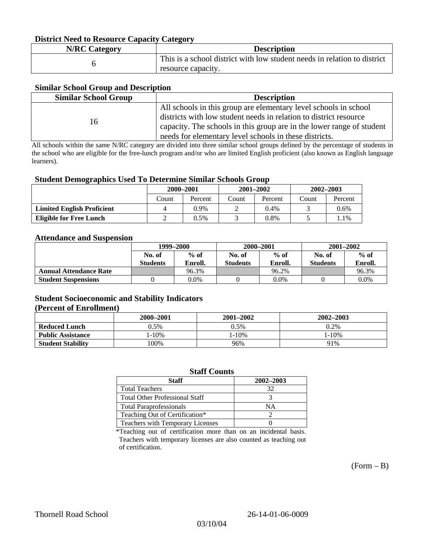### **District Need to Resource Capacity Category**

| <b>N/RC Category</b> | <b>Description</b>                                                                             |
|----------------------|------------------------------------------------------------------------------------------------|
|                      | This is a school district with low student needs in relation to district<br>resource capacity. |

### **Similar School Group and Description**

| <b>Similar School Group</b> | <b>Description</b>                                                    |
|-----------------------------|-----------------------------------------------------------------------|
|                             | All schools in this group are elementary level schools in school      |
| 16                          | districts with low student needs in relation to district resource     |
|                             | capacity. The schools in this group are in the lower range of student |
|                             | needs for elementary level schools in these districts.                |

All schools within the same N/RC category are divided into three similar school groups defined by the percentage of students in the school who are eligible for the free-lunch program and/or who are limited English proficient (also known as English language learners).

#### **Student Demographics Used To Determine Similar Schools Group**

|                                   | 2000-2001 |         | $2001 - 2002$ |         | $2002 - 2003$ |         |
|-----------------------------------|-----------|---------|---------------|---------|---------------|---------|
|                                   | Count     | Percent | Count         | Percent | Count         | Percent |
| <b>Limited English Proficient</b> |           | 0.9%    |               | $0.4\%$ |               | $0.6\%$ |
| Eligible for Free Lunch           |           | 0.5%    |               | 0.8%    |               | . . 1 % |

#### **Attendance and Suspension**

|                               | 1999–2000        |         | 2000-2001       |         | $2001 - 2002$   |         |
|-------------------------------|------------------|---------|-----------------|---------|-----------------|---------|
|                               | $%$ of<br>No. of |         | No. of          | $%$ of  | No. of          | $%$ of  |
|                               | <b>Students</b>  | Enroll. | <b>Students</b> | Enroll. | <b>Students</b> | Enroll. |
| <b>Annual Attendance Rate</b> |                  | 96.3%   |                 | 96.2%   |                 | 96.3%   |
| <b>Student Suspensions</b>    |                  | 0.0%    |                 | $0.0\%$ |                 | 0.0%    |

### **Student Socioeconomic and Stability Indicators (Percent of Enrollment)**

|                          | 2000-2001  | 2001–2002 | 2002-2003 |
|--------------------------|------------|-----------|-----------|
| <b>Reduced Lunch</b>     | 0.5%       | 0.5%      | 0.2%      |
| <b>Public Assistance</b> | $1 - 10\%$ | 1-10%     | $-10%$    |
| <b>Student Stability</b> | $00\%$     | 96%       | 91%       |

#### **Staff Counts**

| Staff                                 | 2002-2003 |
|---------------------------------------|-----------|
| <b>Total Teachers</b>                 | 32        |
| <b>Total Other Professional Staff</b> |           |
| <b>Total Paraprofessionals</b>        | NΑ        |
| Teaching Out of Certification*        |           |
| Teachers with Temporary Licenses      |           |

\*Teaching out of certification more than on an incidental basis. Teachers with temporary licenses are also counted as teaching out of certification.

 $(Form - B)$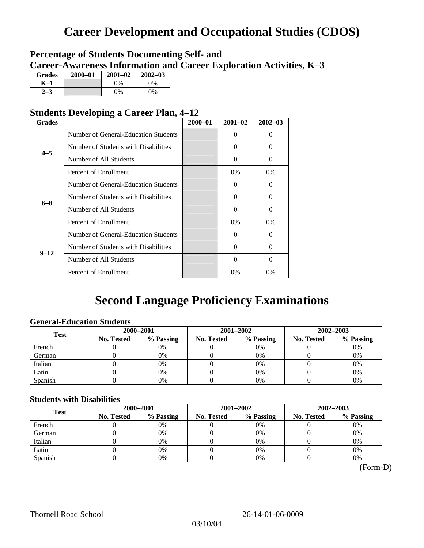# **Career Development and Occupational Studies (CDOS)**

### **Percentage of Students Documenting Self- and Career-Awareness Information and Career Exploration Activities, K–3**

| <b>Grades</b> | 2000-01 | $2001 - 02$ | $2002 - 03$ |
|---------------|---------|-------------|-------------|
| K-1           |         | $0\%$       | 0%          |
| $2 - 3$       |         | $0\%$       | $0\%$       |

### **Students Developing a Career Plan, 4–12**

| <b>Grades</b> |                                      | $2000 - 01$ | $2001 - 02$ | $2002 - 03$ |
|---------------|--------------------------------------|-------------|-------------|-------------|
|               | Number of General-Education Students |             | $\Omega$    | 0           |
| $4 - 5$       | Number of Students with Disabilities |             | 0           | 0           |
|               | Number of All Students               |             | $\Omega$    | $\theta$    |
|               | Percent of Enrollment                |             | $0\%$       | $0\%$       |
|               | Number of General-Education Students |             | $\Omega$    | 0           |
| $6 - 8$       | Number of Students with Disabilities |             | $\Omega$    | $\Omega$    |
|               | Number of All Students               |             | $\Omega$    | $\Omega$    |
|               | Percent of Enrollment                |             | $0\%$       | 0%          |
|               | Number of General-Education Students |             | 0           | 0           |
| $9 - 12$      | Number of Students with Disabilities |             | $\Omega$    | $\Omega$    |
|               | Number of All Students               |             | $\Omega$    | $\Omega$    |
|               | Percent of Enrollment                |             | 0%          | 0%          |

# **Second Language Proficiency Examinations**

### **General-Education Students**

| <b>Test</b> | 2000-2001         |           |                   | 2001-2002 | 2002-2003  |           |
|-------------|-------------------|-----------|-------------------|-----------|------------|-----------|
|             | <b>No. Tested</b> | % Passing | <b>No. Tested</b> | % Passing | No. Tested | % Passing |
| French      |                   | 0%        |                   | $0\%$     |            | 0%        |
| German      |                   | 0%        |                   | 0%        |            | 0%        |
| Italian     |                   | 0%        |                   | 0%        |            | 0%        |
| Latin       |                   | 0%        |                   | 0%        |            | 0%        |
| Spanish     |                   | 0%        |                   | 0%        |            | 0%        |

### **Students with Disabilities**

| <b>Test</b> | 2000-2001         |           |            | 2001-2002 | 2002-2003  |           |  |
|-------------|-------------------|-----------|------------|-----------|------------|-----------|--|
|             | <b>No. Tested</b> | % Passing | No. Tested | % Passing | No. Tested | % Passing |  |
| French      |                   | 0%        |            | 0%        |            | 0%        |  |
| German      |                   | 0%        |            | 0%        |            | 0%        |  |
| Italian     |                   | 0%        |            | 0%        |            | 0%        |  |
| Latin       |                   | 0%        |            | 0%        |            | 0%        |  |
| Spanish     |                   | 0%        |            | 0%        |            | 0%        |  |

(Form-D)